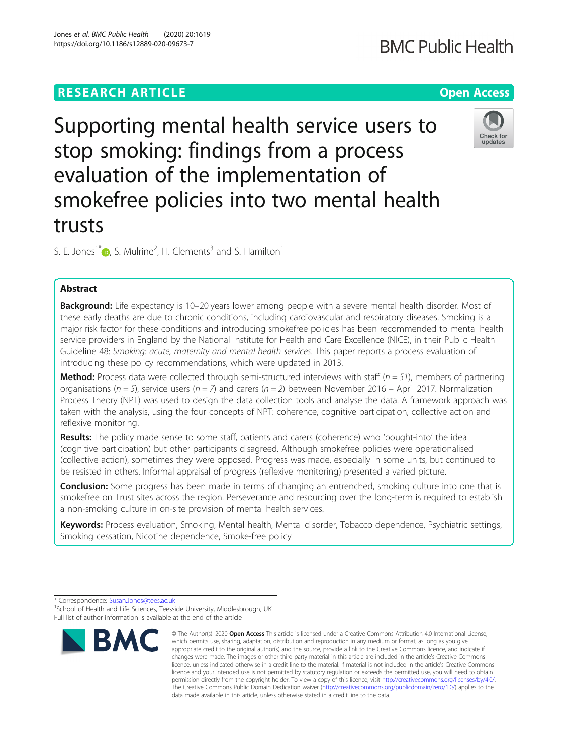# **RESEARCH ARTICLE Example 2014 12:30 The Contract of Contract ACCESS**

Supporting mental health service users to stop smoking: findings from a process evaluation of the implementation of smokefree policies into two mental health trusts

S. E. Jones<sup>1[\\*](http://orcid.org/0000-0002-3052-2542)</sup> $\bigcirc$ , S. Mulrine<sup>2</sup>, H. Clements<sup>3</sup> and S. Hamilton<sup>1</sup>

# Abstract

Background: Life expectancy is 10-20 years lower among people with a severe mental health disorder. Most of these early deaths are due to chronic conditions, including cardiovascular and respiratory diseases. Smoking is a major risk factor for these conditions and introducing smokefree policies has been recommended to mental health service providers in England by the National Institute for Health and Care Excellence (NICE), in their Public Health Guideline 48: Smoking: acute, maternity and mental health services. This paper reports a process evaluation of introducing these policy recommendations, which were updated in 2013.

**Method:** Process data were collected through semi-structured interviews with staff ( $n = 51$ ), members of partnering organisations ( $n=5$ ), service users ( $n=7$ ) and carers ( $n=2$ ) between November 2016 – April 2017. Normalization Process Theory (NPT) was used to design the data collection tools and analyse the data. A framework approach was taken with the analysis, using the four concepts of NPT: coherence, cognitive participation, collective action and reflexive monitoring.

Results: The policy made sense to some staff, patients and carers (coherence) who 'bought-into' the idea (cognitive participation) but other participants disagreed. Although smokefree policies were operationalised (collective action), sometimes they were opposed. Progress was made, especially in some units, but continued to be resisted in others. Informal appraisal of progress (reflexive monitoring) presented a varied picture.

**Conclusion:** Some progress has been made in terms of changing an entrenched, smoking culture into one that is smokefree on Trust sites across the region. Perseverance and resourcing over the long-term is required to establish a non-smoking culture in on-site provision of mental health services.

Keywords: Process evaluation, Smoking, Mental health, Mental disorder, Tobacco dependence, Psychiatric settings, Smoking cessation, Nicotine dependence, Smoke-free policy





<sup>\*</sup> Correspondence: [Susan.Jones@tees.ac.uk](mailto:Susan.Jones@tees.ac.uk) <sup>1</sup>

<sup>&</sup>lt;sup>1</sup>School of Health and Life Sciences, Teesside University, Middlesbrough, UK Full list of author information is available at the end of the article

Check for undates

<sup>©</sup> The Author(s), 2020 **Open Access** This article is licensed under a Creative Commons Attribution 4.0 International License, which permits use, sharing, adaptation, distribution and reproduction in any medium or format, as long as you give appropriate credit to the original author(s) and the source, provide a link to the Creative Commons licence, and indicate if changes were made. The images or other third party material in this article are included in the article's Creative Commons licence, unless indicated otherwise in a credit line to the material. If material is not included in the article's Creative Commons licence and your intended use is not permitted by statutory regulation or exceeds the permitted use, you will need to obtain permission directly from the copyright holder. To view a copy of this licence, visit [http://creativecommons.org/licenses/by/4.0/.](http://creativecommons.org/licenses/by/4.0/) The Creative Commons Public Domain Dedication waiver [\(http://creativecommons.org/publicdomain/zero/1.0/](http://creativecommons.org/publicdomain/zero/1.0/)) applies to the data made available in this article, unless otherwise stated in a credit line to the data.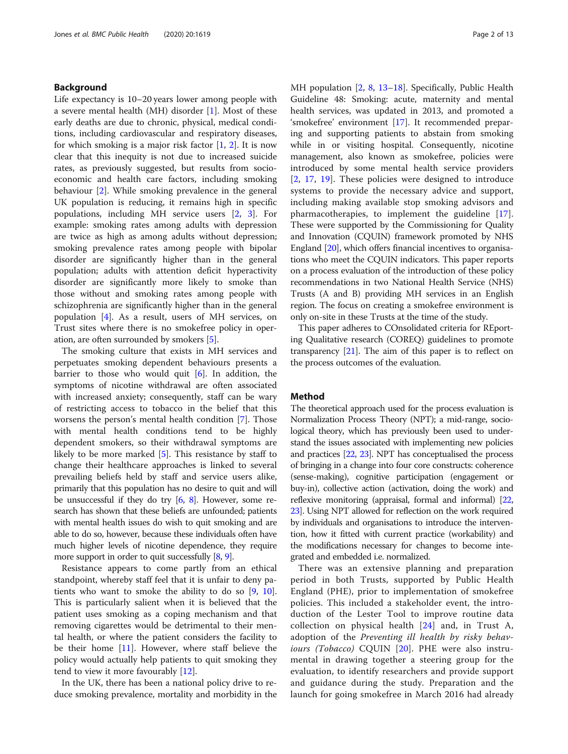# Background

Life expectancy is 10–20 years lower among people with a severe mental health (MH) disorder [[1\]](#page-11-0). Most of these early deaths are due to chronic, physical, medical conditions, including cardiovascular and respiratory diseases, for which smoking is a major risk factor  $[1, 2]$  $[1, 2]$  $[1, 2]$  $[1, 2]$  $[1, 2]$ . It is now clear that this inequity is not due to increased suicide rates, as previously suggested, but results from socioeconomic and health care factors, including smoking behaviour [\[2](#page-11-0)]. While smoking prevalence in the general UK population is reducing, it remains high in specific populations, including MH service users [\[2](#page-11-0), [3\]](#page-11-0). For example: smoking rates among adults with depression are twice as high as among adults without depression; smoking prevalence rates among people with bipolar disorder are significantly higher than in the general population; adults with attention deficit hyperactivity disorder are significantly more likely to smoke than those without and smoking rates among people with schizophrenia are significantly higher than in the general population [\[4](#page-11-0)]. As a result, users of MH services, on Trust sites where there is no smokefree policy in operation, are often surrounded by smokers [\[5](#page-11-0)].

The smoking culture that exists in MH services and perpetuates smoking dependent behaviours presents a barrier to those who would quit  $[6]$  $[6]$ . In addition, the symptoms of nicotine withdrawal are often associated with increased anxiety; consequently, staff can be wary of restricting access to tobacco in the belief that this worsens the person's mental health condition [[7\]](#page-11-0). Those with mental health conditions tend to be highly dependent smokers, so their withdrawal symptoms are likely to be more marked [\[5](#page-11-0)]. This resistance by staff to change their healthcare approaches is linked to several prevailing beliefs held by staff and service users alike, primarily that this population has no desire to quit and will be unsuccessful if they do try  $[6, 8]$  $[6, 8]$  $[6, 8]$ . However, some research has shown that these beliefs are unfounded; patients with mental health issues do wish to quit smoking and are able to do so, however, because these individuals often have much higher levels of nicotine dependence, they require more support in order to quit successfully [\[8](#page-11-0), [9](#page-11-0)].

Resistance appears to come partly from an ethical standpoint, whereby staff feel that it is unfair to deny patients who want to smoke the ability to do so [[9,](#page-11-0) [10](#page-11-0)]. This is particularly salient when it is believed that the patient uses smoking as a coping mechanism and that removing cigarettes would be detrimental to their mental health, or where the patient considers the facility to be their home  $[11]$  $[11]$  $[11]$ . However, where staff believe the policy would actually help patients to quit smoking they tend to view it more favourably [[12\]](#page-11-0).

In the UK, there has been a national policy drive to reduce smoking prevalence, mortality and morbidity in the MH population [[2,](#page-11-0) [8](#page-11-0), [13](#page-11-0)–[18](#page-12-0)]. Specifically, Public Health Guideline 48: Smoking: acute, maternity and mental health services, was updated in 2013, and promoted a 'smokefree' environment [[17\]](#page-12-0). It recommended preparing and supporting patients to abstain from smoking while in or visiting hospital. Consequently, nicotine management, also known as smokefree, policies were introduced by some mental health service providers [[2](#page-11-0), [17,](#page-12-0) [19](#page-12-0)]. These policies were designed to introduce systems to provide the necessary advice and support, including making available stop smoking advisors and pharmacotherapies, to implement the guideline [\[17](#page-12-0)]. These were supported by the Commissioning for Quality and Innovation (CQUIN) framework promoted by NHS England [\[20\]](#page-12-0), which offers financial incentives to organisations who meet the CQUIN indicators. This paper reports on a process evaluation of the introduction of these policy recommendations in two National Health Service (NHS) Trusts (A and B) providing MH services in an English region. The focus on creating a smokefree environment is only on-site in these Trusts at the time of the study.

This paper adheres to COnsolidated criteria for REporting Qualitative research (COREQ) guidelines to promote transparency [\[21\]](#page-12-0). The aim of this paper is to reflect on the process outcomes of the evaluation.

#### Method

The theoretical approach used for the process evaluation is Normalization Process Theory (NPT); a mid-range, sociological theory, which has previously been used to understand the issues associated with implementing new policies and practices [[22](#page-12-0), [23\]](#page-12-0). NPT has conceptualised the process of bringing in a change into four core constructs: coherence (sense-making), cognitive participation (engagement or buy-in), collective action (activation, doing the work) and reflexive monitoring (appraisal, formal and informal) [\[22](#page-12-0), [23](#page-12-0)]. Using NPT allowed for reflection on the work required by individuals and organisations to introduce the intervention, how it fitted with current practice (workability) and the modifications necessary for changes to become integrated and embedded i.e. normalized.

There was an extensive planning and preparation period in both Trusts, supported by Public Health England (PHE), prior to implementation of smokefree policies. This included a stakeholder event, the introduction of the Lester Tool to improve routine data collection on physical health [\[24](#page-12-0)] and, in Trust A, adoption of the Preventing ill health by risky behav-iours (Tobacco) CQUIN [\[20](#page-12-0)]. PHE were also instrumental in drawing together a steering group for the evaluation, to identify researchers and provide support and guidance during the study. Preparation and the launch for going smokefree in March 2016 had already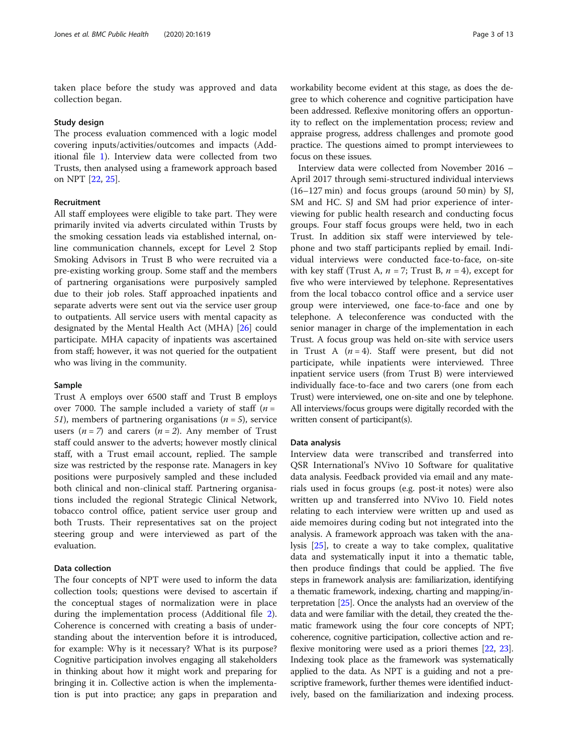taken place before the study was approved and data collection began.

#### Study design

The process evaluation commenced with a logic model covering inputs/activities/outcomes and impacts (Additional file [1\)](#page-11-0). Interview data were collected from two Trusts, then analysed using a framework approach based on NPT [[22,](#page-12-0) [25\]](#page-12-0).

#### Recruitment

All staff employees were eligible to take part. They were primarily invited via adverts circulated within Trusts by the smoking cessation leads via established internal, online communication channels, except for Level 2 Stop Smoking Advisors in Trust B who were recruited via a pre-existing working group. Some staff and the members of partnering organisations were purposively sampled due to their job roles. Staff approached inpatients and separate adverts were sent out via the service user group to outpatients. All service users with mental capacity as designated by the Mental Health Act (MHA) [\[26](#page-12-0)] could participate. MHA capacity of inpatients was ascertained from staff; however, it was not queried for the outpatient who was living in the community.

#### Sample

Trust A employs over 6500 staff and Trust B employs over 7000. The sample included a variety of staff  $(n =$ 51), members of partnering organisations ( $n=5$ ), service users ( $n=7$ ) and carers ( $n=2$ ). Any member of Trust staff could answer to the adverts; however mostly clinical staff, with a Trust email account, replied. The sample size was restricted by the response rate. Managers in key positions were purposively sampled and these included both clinical and non-clinical staff. Partnering organisations included the regional Strategic Clinical Network, tobacco control office, patient service user group and both Trusts. Their representatives sat on the project steering group and were interviewed as part of the evaluation.

#### Data collection

The four concepts of NPT were used to inform the data collection tools; questions were devised to ascertain if the conceptual stages of normalization were in place during the implementation process (Additional file [2](#page-11-0)). Coherence is concerned with creating a basis of understanding about the intervention before it is introduced, for example: Why is it necessary? What is its purpose? Cognitive participation involves engaging all stakeholders in thinking about how it might work and preparing for bringing it in. Collective action is when the implementation is put into practice; any gaps in preparation and

workability become evident at this stage, as does the degree to which coherence and cognitive participation have been addressed. Reflexive monitoring offers an opportunity to reflect on the implementation process; review and appraise progress, address challenges and promote good practice. The questions aimed to prompt interviewees to focus on these issues.

Interview data were collected from November 2016 – April 2017 through semi-structured individual interviews (16–127 min) and focus groups (around 50 min) by SJ, SM and HC. SJ and SM had prior experience of interviewing for public health research and conducting focus groups. Four staff focus groups were held, two in each Trust. In addition six staff were interviewed by telephone and two staff participants replied by email. Individual interviews were conducted face-to-face, on-site with key staff (Trust A,  $n = 7$ ; Trust B,  $n = 4$ ), except for five who were interviewed by telephone. Representatives from the local tobacco control office and a service user group were interviewed, one face-to-face and one by telephone. A teleconference was conducted with the senior manager in charge of the implementation in each Trust. A focus group was held on-site with service users in Trust A  $(n = 4)$ . Staff were present, but did not participate, while inpatients were interviewed. Three inpatient service users (from Trust B) were interviewed individually face-to-face and two carers (one from each Trust) were interviewed, one on-site and one by telephone. All interviews/focus groups were digitally recorded with the written consent of participant(s).

#### Data analysis

Interview data were transcribed and transferred into QSR International's NVivo 10 Software for qualitative data analysis. Feedback provided via email and any materials used in focus groups (e.g. post-it notes) were also written up and transferred into NVivo 10. Field notes relating to each interview were written up and used as aide memoires during coding but not integrated into the analysis. A framework approach was taken with the analysis [[25](#page-12-0)], to create a way to take complex, qualitative data and systematically input it into a thematic table, then produce findings that could be applied. The five steps in framework analysis are: familiarization, identifying a thematic framework, indexing, charting and mapping/interpretation [\[25\]](#page-12-0). Once the analysts had an overview of the data and were familiar with the detail, they created the thematic framework using the four core concepts of NPT; coherence, cognitive participation, collective action and reflexive monitoring were used as a priori themes [\[22,](#page-12-0) [23](#page-12-0)]. Indexing took place as the framework was systematically applied to the data. As NPT is a guiding and not a prescriptive framework, further themes were identified inductively, based on the familiarization and indexing process.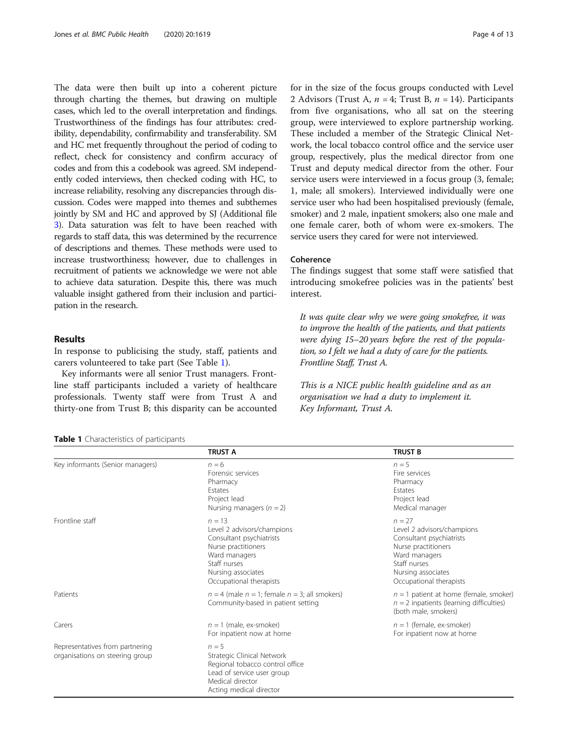The data were then built up into a coherent picture through charting the themes, but drawing on multiple cases, which led to the overall interpretation and findings. Trustworthiness of the findings has four attributes: credibility, dependability, confirmability and transferability. SM and HC met frequently throughout the period of coding to reflect, check for consistency and confirm accuracy of codes and from this a codebook was agreed. SM independently coded interviews, then checked coding with HC, to increase reliability, resolving any discrepancies through discussion. Codes were mapped into themes and subthemes jointly by SM and HC and approved by SJ (Additional file [3](#page-11-0)). Data saturation was felt to have been reached with regards to staff data, this was determined by the recurrence of descriptions and themes. These methods were used to increase trustworthiness; however, due to challenges in recruitment of patients we acknowledge we were not able to achieve data saturation. Despite this, there was much valuable insight gathered from their inclusion and participation in the research.

### Results

In response to publicising the study, staff, patients and carers volunteered to take part (See Table 1).

Key informants were all senior Trust managers. Frontline staff participants included a variety of healthcare professionals. Twenty staff were from Trust A and thirty-one from Trust B; this disparity can be accounted

| Table 1 Characteristics of participants |  |
|-----------------------------------------|--|
|-----------------------------------------|--|

for in the size of the focus groups conducted with Level 2 Advisors (Trust A,  $n = 4$ ; Trust B,  $n = 14$ ). Participants from five organisations, who all sat on the steering group, were interviewed to explore partnership working. These included a member of the Strategic Clinical Network, the local tobacco control office and the service user group, respectively, plus the medical director from one Trust and deputy medical director from the other. Four service users were interviewed in a focus group (3, female; 1, male; all smokers). Interviewed individually were one service user who had been hospitalised previously (female, smoker) and 2 male, inpatient smokers; also one male and one female carer, both of whom were ex-smokers. The service users they cared for were not interviewed.

# Coherence

The findings suggest that some staff were satisfied that introducing smokefree policies was in the patients' best interest.

It was quite clear why we were going smokefree, it was to improve the health of the patients, and that patients were dying 15–20 years before the rest of the population, so I felt we had a duty of care for the patients. Frontline Staff, Trust A.

This is a NICE public health guideline and as an organisation we had a duty to implement it. Key Informant, Trust A.

|                                                                    | <b>TRUST A</b>                                                                                                                                                              | <b>TRUST B</b>                                                                                                                                                              |
|--------------------------------------------------------------------|-----------------------------------------------------------------------------------------------------------------------------------------------------------------------------|-----------------------------------------------------------------------------------------------------------------------------------------------------------------------------|
| Key informants (Senior managers)                                   | $n = 6$<br>Forensic services<br>Pharmacy<br>Estates<br>Project lead<br>Nursing managers ( $n = 2$ )                                                                         | $n = 5$<br>Fire services<br>Pharmacy<br>Estates<br>Project lead<br>Medical manager                                                                                          |
| Frontline staff                                                    | $n = 13$<br>Level 2 advisors/champions<br>Consultant psychiatrists<br>Nurse practitioners<br>Ward managers<br>Staff nurses<br>Nursing associates<br>Occupational therapists | $n = 27$<br>Level 2 advisors/champions<br>Consultant psychiatrists<br>Nurse practitioners<br>Ward managers<br>Staff nurses<br>Nursing associates<br>Occupational therapists |
| Patients                                                           | $n = 4$ (male $n = 1$ ; female $n = 3$ ; all smokers)<br>Community-based in patient setting                                                                                 | $n = 1$ patient at home (female, smoker)<br>$n = 2$ inpatients (learning difficulties)<br>(both male, smokers)                                                              |
| Carers                                                             | $n = 1$ (male, ex-smoker)<br>For inpatient now at home                                                                                                                      | $n = 1$ (female, ex-smoker)<br>For inpatient now at home                                                                                                                    |
| Representatives from partnering<br>organisations on steering group | $n = 5$<br>Strategic Clinical Network<br>Regional tobacco control office<br>Lead of service user group<br>Medical director<br>Acting medical director                       |                                                                                                                                                                             |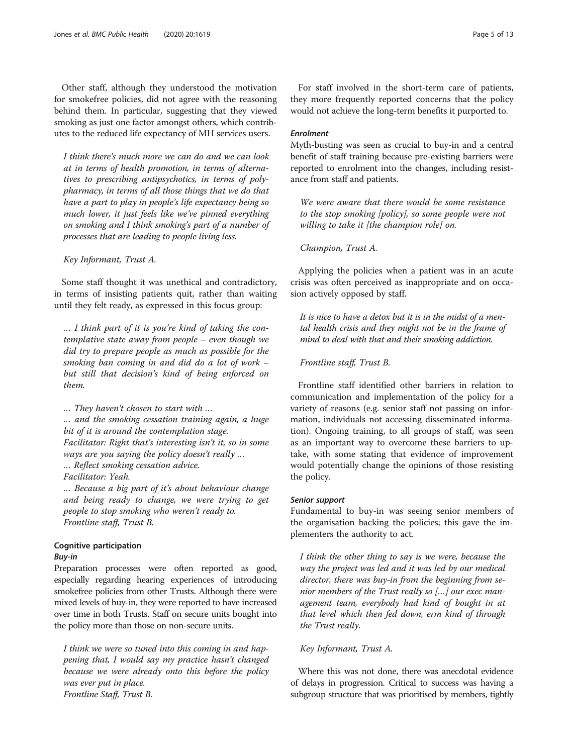Other staff, although they understood the motivation for smokefree policies, did not agree with the reasoning behind them. In particular, suggesting that they viewed smoking as just one factor amongst others, which contributes to the reduced life expectancy of MH services users.

I think there's much more we can do and we can look at in terms of health promotion, in terms of alternatives to prescribing antipsychotics, in terms of polypharmacy, in terms of all those things that we do that have a part to play in people's life expectancy being so much lower, it just feels like we've pinned everything on smoking and I think smoking's part of a number of processes that are leading to people living less.

Key Informant, Trust A.

Some staff thought it was unethical and contradictory, in terms of insisting patients quit, rather than waiting until they felt ready, as expressed in this focus group:

… I think part of it is you're kind of taking the contemplative state away from people – even though we did try to prepare people as much as possible for the smoking ban coming in and did do a lot of work – but still that decision's kind of being enforced on them.

… They haven't chosen to start with … … and the smoking cessation training again, a huge bit of it is around the contemplation stage. Facilitator: Right that's interesting isn't it, so in some

ways are you saying the policy doesn't really ...

… Reflect smoking cessation advice.

Facilitator: Yeah.

… Because a big part of it's about behaviour change and being ready to change, we were trying to get people to stop smoking who weren't ready to. Frontline staff, Trust B.

# Cognitive participation

#### Buy-in

Preparation processes were often reported as good, especially regarding hearing experiences of introducing smokefree policies from other Trusts. Although there were mixed levels of buy-in, they were reported to have increased over time in both Trusts. Staff on secure units bought into the policy more than those on non-secure units.

I think we were so tuned into this coming in and happening that, I would say my practice hasn't changed because we were already onto this before the policy was ever put in place. Frontline Staff, Trust B.

For staff involved in the short-term care of patients, they more frequently reported concerns that the policy would not achieve the long-term benefits it purported to.

# Enrolment

Myth-busting was seen as crucial to buy-in and a central benefit of staff training because pre-existing barriers were reported to enrolment into the changes, including resistance from staff and patients.

We were aware that there would be some resistance to the stop smoking [policy], so some people were not willing to take it [the champion role] on.

# Champion, Trust A.

Applying the policies when a patient was in an acute crisis was often perceived as inappropriate and on occasion actively opposed by staff.

It is nice to have a detox but it is in the midst of a mental health crisis and they might not be in the frame of mind to deal with that and their smoking addiction.

#### Frontline staff, Trust B.

Frontline staff identified other barriers in relation to communication and implementation of the policy for a variety of reasons (e.g. senior staff not passing on information, individuals not accessing disseminated information). Ongoing training, to all groups of staff, was seen as an important way to overcome these barriers to uptake, with some stating that evidence of improvement would potentially change the opinions of those resisting the policy.

#### Senior support

Fundamental to buy-in was seeing senior members of the organisation backing the policies; this gave the implementers the authority to act.

I think the other thing to say is we were, because the way the project was led and it was led by our medical director, there was buy-in from the beginning from senior members of the Trust really so […] our exec management team, everybody had kind of bought in at that level which then fed down, erm kind of through the Trust really.

# Key Informant, Trust A.

Where this was not done, there was anecdotal evidence of delays in progression. Critical to success was having a subgroup structure that was prioritised by members, tightly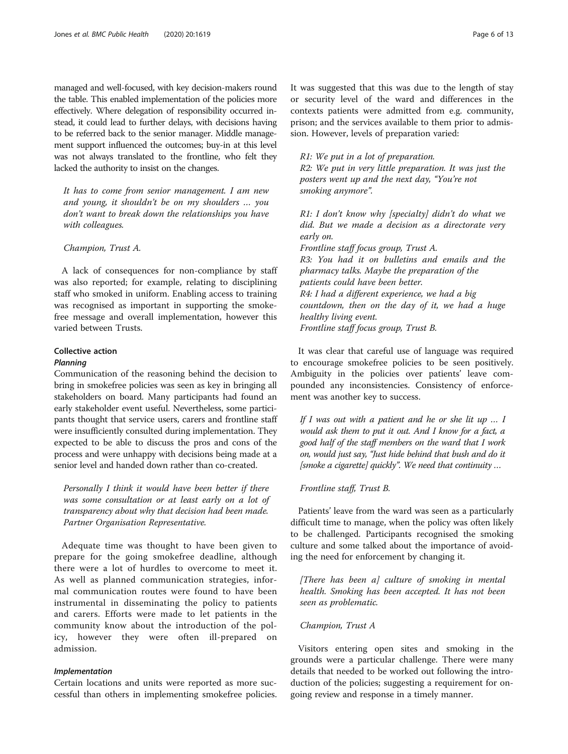managed and well-focused, with key decision-makers round the table. This enabled implementation of the policies more effectively. Where delegation of responsibility occurred instead, it could lead to further delays, with decisions having to be referred back to the senior manager. Middle management support influenced the outcomes; buy-in at this level was not always translated to the frontline, who felt they lacked the authority to insist on the changes.

It has to come from senior management. I am new and young, it shouldn't be on my shoulders … you don't want to break down the relationships you have with colleagues.

Champion, Trust A.

A lack of consequences for non-compliance by staff was also reported; for example, relating to disciplining staff who smoked in uniform. Enabling access to training was recognised as important in supporting the smokefree message and overall implementation, however this varied between Trusts.

# Collective action

#### Planning

Communication of the reasoning behind the decision to bring in smokefree policies was seen as key in bringing all stakeholders on board. Many participants had found an early stakeholder event useful. Nevertheless, some participants thought that service users, carers and frontline staff were insufficiently consulted during implementation. They expected to be able to discuss the pros and cons of the process and were unhappy with decisions being made at a senior level and handed down rather than co-created.

Personally I think it would have been better if there was some consultation or at least early on a lot of transparency about why that decision had been made. Partner Organisation Representative.

Adequate time was thought to have been given to prepare for the going smokefree deadline, although there were a lot of hurdles to overcome to meet it. As well as planned communication strategies, informal communication routes were found to have been instrumental in disseminating the policy to patients and carers. Efforts were made to let patients in the community know about the introduction of the policy, however they were often ill-prepared on admission.

#### Implementation

Certain locations and units were reported as more successful than others in implementing smokefree policies. It was suggested that this was due to the length of stay or security level of the ward and differences in the contexts patients were admitted from e.g. community, prison; and the services available to them prior to admission. However, levels of preparation varied:

R1: We put in a lot of preparation.

R2: We put in very little preparation. It was just the posters went up and the next day, "You're not smoking anymore".

R1: I don't know why [specialty] didn't do what we did. But we made a decision as a directorate very early on. Frontline staff focus group, Trust A. R3: You had it on bulletins and emails and the pharmacy talks. Maybe the preparation of the patients could have been better. R4: I had a different experience, we had a big countdown, then on the day of it, we had a huge healthy living event. Frontline staff focus group, Trust B.

It was clear that careful use of language was required to encourage smokefree policies to be seen positively. Ambiguity in the policies over patients' leave compounded any inconsistencies. Consistency of enforcement was another key to success.

If I was out with a patient and he or she lit up  $\ldots$  I would ask them to put it out. And I know for a fact, a good half of the staff members on the ward that I work on, would just say, "Just hide behind that bush and do it [smoke a cigarette] quickly". We need that continuity …

#### Frontline staff, Trust B.

Patients' leave from the ward was seen as a particularly difficult time to manage, when the policy was often likely to be challenged. Participants recognised the smoking culture and some talked about the importance of avoiding the need for enforcement by changing it.

[There has been a] culture of smoking in mental health. Smoking has been accepted. It has not been seen as problematic.

Champion, Trust A

Visitors entering open sites and smoking in the grounds were a particular challenge. There were many details that needed to be worked out following the introduction of the policies; suggesting a requirement for ongoing review and response in a timely manner.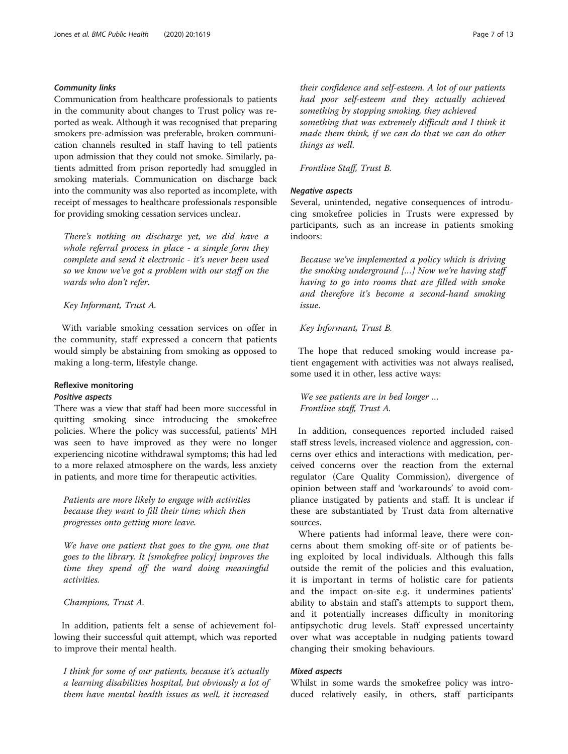# Community links

Communication from healthcare professionals to patients in the community about changes to Trust policy was reported as weak. Although it was recognised that preparing smokers pre-admission was preferable, broken communication channels resulted in staff having to tell patients upon admission that they could not smoke. Similarly, patients admitted from prison reportedly had smuggled in smoking materials. Communication on discharge back into the community was also reported as incomplete, with receipt of messages to healthcare professionals responsible for providing smoking cessation services unclear.

There's nothing on discharge yet, we did have a whole referral process in place - a simple form they complete and send it electronic - it's never been used so we know we've got a problem with our staff on the wards who don't refer.

Key Informant, Trust A.

With variable smoking cessation services on offer in the community, staff expressed a concern that patients would simply be abstaining from smoking as opposed to making a long-term, lifestyle change.

# Reflexive monitoring

# Positive aspects

There was a view that staff had been more successful in quitting smoking since introducing the smokefree policies. Where the policy was successful, patients' MH was seen to have improved as they were no longer experiencing nicotine withdrawal symptoms; this had led to a more relaxed atmosphere on the wards, less anxiety in patients, and more time for therapeutic activities.

Patients are more likely to engage with activities because they want to fill their time; which then progresses onto getting more leave.

We have one patient that goes to the gym, one that goes to the library. It [smokefree policy] improves the time they spend off the ward doing meaningful activities.

Champions, Trust A.

In addition, patients felt a sense of achievement following their successful quit attempt, which was reported to improve their mental health.

I think for some of our patients, because it's actually a learning disabilities hospital, but obviously a lot of them have mental health issues as well, it increased their confidence and self-esteem. A lot of our patients had poor self-esteem and they actually achieved something by stopping smoking, they achieved something that was extremely difficult and I think it made them think, if we can do that we can do other things as well.

#### Frontline Staff, Trust B.

# Negative aspects

Several, unintended, negative consequences of introducing smokefree policies in Trusts were expressed by participants, such as an increase in patients smoking indoors:

Because we've implemented a policy which is driving the smoking underground […] Now we're having staff having to go into rooms that are filled with smoke and therefore it's become a second-hand smoking issue.

#### Key Informant, Trust B.

The hope that reduced smoking would increase patient engagement with activities was not always realised, some used it in other, less active ways:

We see patients are in bed longer … Frontline staff, Trust A.

In addition, consequences reported included raised staff stress levels, increased violence and aggression, concerns over ethics and interactions with medication, perceived concerns over the reaction from the external regulator (Care Quality Commission), divergence of opinion between staff and 'workarounds' to avoid compliance instigated by patients and staff. It is unclear if these are substantiated by Trust data from alternative sources.

Where patients had informal leave, there were concerns about them smoking off-site or of patients being exploited by local individuals. Although this falls outside the remit of the policies and this evaluation, it is important in terms of holistic care for patients and the impact on-site e.g. it undermines patients' ability to abstain and staff's attempts to support them, and it potentially increases difficulty in monitoring antipsychotic drug levels. Staff expressed uncertainty over what was acceptable in nudging patients toward changing their smoking behaviours.

# Mixed aspects

Whilst in some wards the smokefree policy was introduced relatively easily, in others, staff participants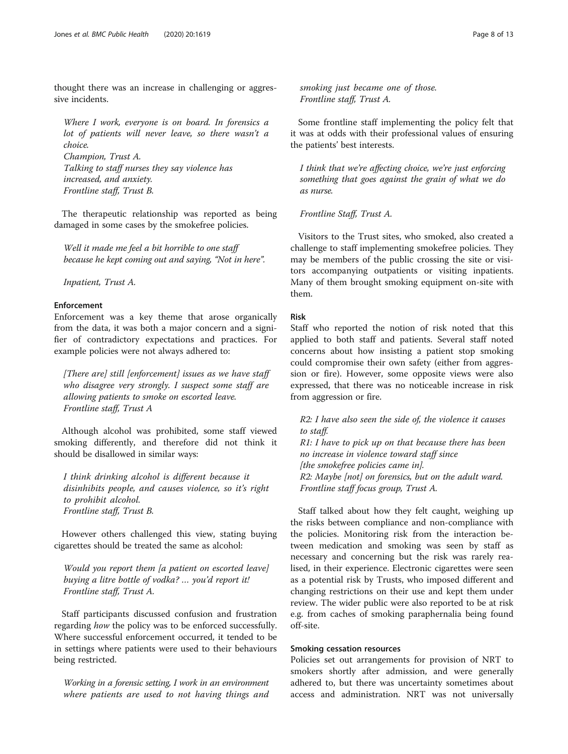thought there was an increase in challenging or aggressive incidents.

Where I work, everyone is on board. In forensics a lot of patients will never leave, so there wasn't a choice. Champion, Trust A. Talking to staff nurses they say violence has increased, and anxiety. Frontline staff, Trust B.

The therapeutic relationship was reported as being damaged in some cases by the smokefree policies.

Well it made me feel a bit horrible to one staff because he kept coming out and saying, "Not in here".

Inpatient, Trust A.

# Enforcement

Enforcement was a key theme that arose organically from the data, it was both a major concern and a signifier of contradictory expectations and practices. For example policies were not always adhered to:

[There are] still [enforcement] issues as we have staff who disagree very strongly. I suspect some staff are allowing patients to smoke on escorted leave. Frontline staff, Trust A

Although alcohol was prohibited, some staff viewed smoking differently, and therefore did not think it should be disallowed in similar ways:

I think drinking alcohol is different because it disinhibits people, and causes violence, so it's right to prohibit alcohol. Frontline staff, Trust B.

However others challenged this view, stating buying cigarettes should be treated the same as alcohol:

Would you report them [a patient on escorted leave] buying a litre bottle of vodka? … you'd report it! Frontline staff, Trust A.

Staff participants discussed confusion and frustration regarding *how* the policy was to be enforced successfully. Where successful enforcement occurred, it tended to be in settings where patients were used to their behaviours being restricted.

Working in a forensic setting, I work in an environment where patients are used to not having things and smoking just became one of those. Frontline staff, Trust A.

Some frontline staff implementing the policy felt that it was at odds with their professional values of ensuring the patients' best interests.

I think that we're affecting choice, we're just enforcing something that goes against the grain of what we do as nurse.

Frontline Staff, Trust A.

Visitors to the Trust sites, who smoked, also created a challenge to staff implementing smokefree policies. They may be members of the public crossing the site or visitors accompanying outpatients or visiting inpatients. Many of them brought smoking equipment on-site with them.

# Risk

Staff who reported the notion of risk noted that this applied to both staff and patients. Several staff noted concerns about how insisting a patient stop smoking could compromise their own safety (either from aggression or fire). However, some opposite views were also expressed, that there was no noticeable increase in risk from aggression or fire.

R2: I have also seen the side of, the violence it causes to staff. R1: I have to pick up on that because there has been no increase in violence toward staff since [the smokefree policies came in]. R2: Maybe [not] on forensics, but on the adult ward. Frontline staff focus group, Trust A.

Staff talked about how they felt caught, weighing up the risks between compliance and non-compliance with the policies. Monitoring risk from the interaction between medication and smoking was seen by staff as necessary and concerning but the risk was rarely realised, in their experience. Electronic cigarettes were seen as a potential risk by Trusts, who imposed different and changing restrictions on their use and kept them under review. The wider public were also reported to be at risk e.g. from caches of smoking paraphernalia being found off-site.

# Smoking cessation resources

Policies set out arrangements for provision of NRT to smokers shortly after admission, and were generally adhered to, but there was uncertainty sometimes about access and administration. NRT was not universally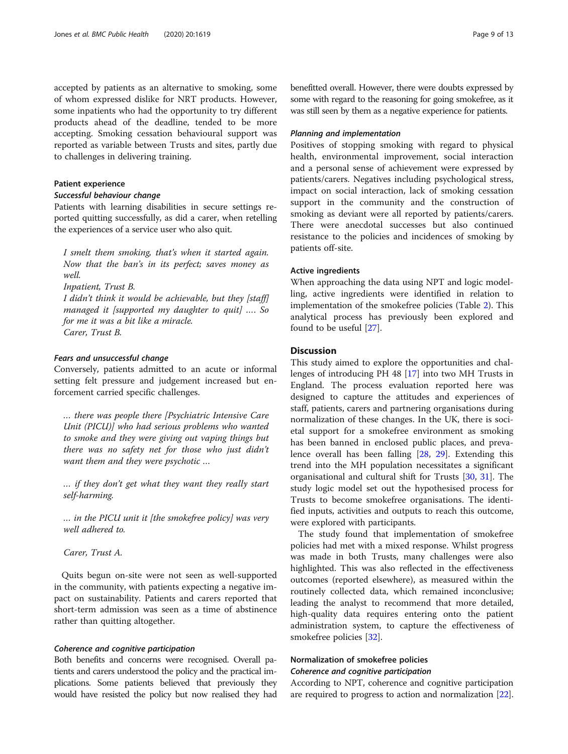accepted by patients as an alternative to smoking, some of whom expressed dislike for NRT products. However, some inpatients who had the opportunity to try different products ahead of the deadline, tended to be more accepting. Smoking cessation behavioural support was reported as variable between Trusts and sites, partly due to challenges in delivering training.

#### Patient experience

#### Successful behaviour change

Patients with learning disabilities in secure settings reported quitting successfully, as did a carer, when retelling the experiences of a service user who also quit.

I smelt them smoking, that's when it started again. Now that the ban's in its perfect; saves money as well.

Inpatient, Trust B.

I didn't think it would be achievable, but they [staff] managed it [supported my daughter to quit] …. So for me it was a bit like a miracle. Carer, Trust B.

# Fears and unsuccessful change

Conversely, patients admitted to an acute or informal setting felt pressure and judgement increased but enforcement carried specific challenges.

… there was people there [Psychiatric Intensive Care Unit (PICU)] who had serious problems who wanted to smoke and they were giving out vaping things but there was no safety net for those who just didn't want them and they were psychotic ...

… if they don't get what they want they really start self-harming.

… in the PICU unit it [the smokefree policy] was very well adhered to.

Carer, Trust A.

Quits begun on-site were not seen as well-supported in the community, with patients expecting a negative impact on sustainability. Patients and carers reported that short-term admission was seen as a time of abstinence rather than quitting altogether.

# Coherence and cognitive participation

Both benefits and concerns were recognised. Overall patients and carers understood the policy and the practical implications. Some patients believed that previously they would have resisted the policy but now realised they had benefitted overall. However, there were doubts expressed by some with regard to the reasoning for going smokefree, as it was still seen by them as a negative experience for patients.

# Planning and implementation

Positives of stopping smoking with regard to physical health, environmental improvement, social interaction and a personal sense of achievement were expressed by patients/carers. Negatives including psychological stress, impact on social interaction, lack of smoking cessation support in the community and the construction of smoking as deviant were all reported by patients/carers. There were anecdotal successes but also continued resistance to the policies and incidences of smoking by patients off-site.

#### Active ingredients

When approaching the data using NPT and logic modelling, active ingredients were identified in relation to implementation of the smokefree policies (Table [2\)](#page-9-0). This analytical process has previously been explored and found to be useful [[27](#page-12-0)].

# Discussion

This study aimed to explore the opportunities and challenges of introducing PH 48 [\[17](#page-12-0)] into two MH Trusts in England. The process evaluation reported here was designed to capture the attitudes and experiences of staff, patients, carers and partnering organisations during normalization of these changes. In the UK, there is societal support for a smokefree environment as smoking has been banned in enclosed public places, and prevalence overall has been falling [[28,](#page-12-0) [29\]](#page-12-0). Extending this trend into the MH population necessitates a significant organisational and cultural shift for Trusts [\[30](#page-12-0), [31](#page-12-0)]. The study logic model set out the hypothesised process for Trusts to become smokefree organisations. The identified inputs, activities and outputs to reach this outcome, were explored with participants.

The study found that implementation of smokefree policies had met with a mixed response. Whilst progress was made in both Trusts, many challenges were also highlighted. This was also reflected in the effectiveness outcomes (reported elsewhere), as measured within the routinely collected data, which remained inconclusive; leading the analyst to recommend that more detailed, high-quality data requires entering onto the patient administration system, to capture the effectiveness of smokefree policies [\[32\]](#page-12-0).

# Normalization of smokefree policies

# Coherence and cognitive participation

According to NPT, coherence and cognitive participation are required to progress to action and normalization [[22](#page-12-0)].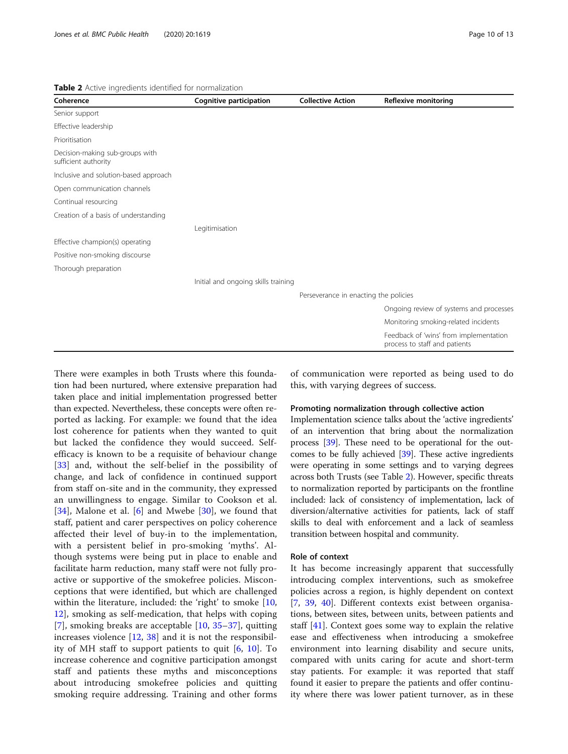#### <span id="page-9-0"></span>Table 2 Active ingredients identified for normalization

| Coherence                                               | Cognitive participation             | <b>Collective Action</b>              | <b>Reflexive monitoring</b>                                             |
|---------------------------------------------------------|-------------------------------------|---------------------------------------|-------------------------------------------------------------------------|
| Senior support                                          |                                     |                                       |                                                                         |
| Effective leadership                                    |                                     |                                       |                                                                         |
| Prioritisation                                          |                                     |                                       |                                                                         |
| Decision-making sub-groups with<br>sufficient authority |                                     |                                       |                                                                         |
| Inclusive and solution-based approach                   |                                     |                                       |                                                                         |
| Open communication channels                             |                                     |                                       |                                                                         |
| Continual resourcing                                    |                                     |                                       |                                                                         |
| Creation of a basis of understanding                    |                                     |                                       |                                                                         |
|                                                         | Legitimisation                      |                                       |                                                                         |
| Effective champion(s) operating                         |                                     |                                       |                                                                         |
| Positive non-smoking discourse                          |                                     |                                       |                                                                         |
| Thorough preparation                                    |                                     |                                       |                                                                         |
|                                                         | Initial and ongoing skills training |                                       |                                                                         |
|                                                         |                                     | Perseverance in enacting the policies |                                                                         |
|                                                         |                                     |                                       | Ongoing review of systems and processes                                 |
|                                                         |                                     |                                       | Monitoring smoking-related incidents                                    |
|                                                         |                                     |                                       | Feedback of 'wins' from implementation<br>process to staff and patients |

There were examples in both Trusts where this foundation had been nurtured, where extensive preparation had taken place and initial implementation progressed better than expected. Nevertheless, these concepts were often reported as lacking. For example: we found that the idea lost coherence for patients when they wanted to quit but lacked the confidence they would succeed. Selfefficacy is known to be a requisite of behaviour change [[33\]](#page-12-0) and, without the self-belief in the possibility of change, and lack of confidence in continued support from staff on-site and in the community, they expressed an unwillingness to engage. Similar to Cookson et al. [[34\]](#page-12-0), Malone et al.  $[6]$  $[6]$  and Mwebe [\[30](#page-12-0)], we found that staff, patient and carer perspectives on policy coherence affected their level of buy-in to the implementation, with a persistent belief in pro-smoking 'myths'. Although systems were being put in place to enable and facilitate harm reduction, many staff were not fully proactive or supportive of the smokefree policies. Misconceptions that were identified, but which are challenged within the literature, included: the 'right' to smoke [\[10](#page-11-0), [12\]](#page-11-0), smoking as self-medication, that helps with coping [[7\]](#page-11-0), smoking breaks are acceptable [[10,](#page-11-0) [35](#page-12-0)–[37](#page-12-0)], quitting increases violence [\[12](#page-11-0), [38\]](#page-12-0) and it is not the responsibility of MH staff to support patients to quit [[6,](#page-11-0) [10](#page-11-0)]. To increase coherence and cognitive participation amongst staff and patients these myths and misconceptions about introducing smokefree policies and quitting smoking require addressing. Training and other forms

of communication were reported as being used to do this, with varying degrees of success.

#### Promoting normalization through collective action

Implementation science talks about the 'active ingredients' of an intervention that bring about the normalization process [\[39\]](#page-12-0). These need to be operational for the outcomes to be fully achieved  $[39]$ . These active ingredients were operating in some settings and to varying degrees across both Trusts (see Table 2). However, specific threats to normalization reported by participants on the frontline included: lack of consistency of implementation, lack of diversion/alternative activities for patients, lack of staff skills to deal with enforcement and a lack of seamless transition between hospital and community.

#### Role of context

It has become increasingly apparent that successfully introducing complex interventions, such as smokefree policies across a region, is highly dependent on context [[7,](#page-11-0) [39,](#page-12-0) [40\]](#page-12-0). Different contexts exist between organisations, between sites, between units, between patients and staff [\[41](#page-12-0)]. Context goes some way to explain the relative ease and effectiveness when introducing a smokefree environment into learning disability and secure units, compared with units caring for acute and short-term stay patients. For example: it was reported that staff found it easier to prepare the patients and offer continuity where there was lower patient turnover, as in these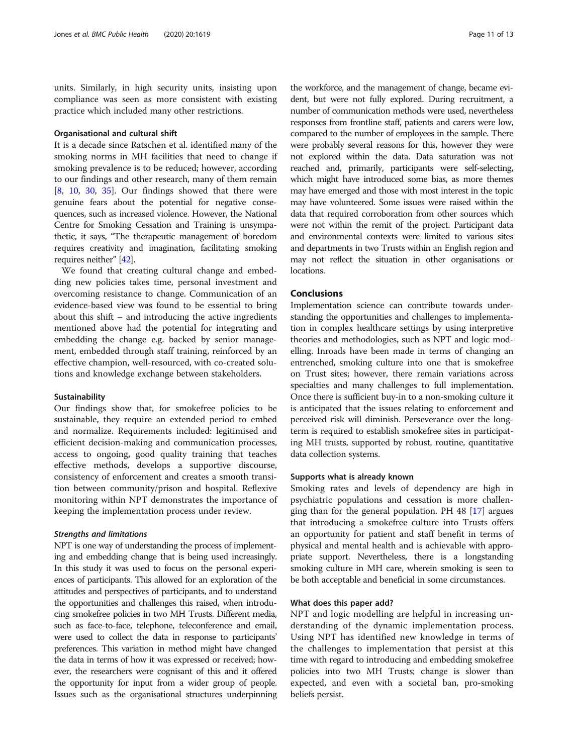units. Similarly, in high security units, insisting upon compliance was seen as more consistent with existing practice which included many other restrictions.

# Organisational and cultural shift

It is a decade since Ratschen et al. identified many of the smoking norms in MH facilities that need to change if smoking prevalence is to be reduced; however, according to our findings and other research, many of them remain [[8,](#page-11-0) [10](#page-11-0), [30](#page-12-0), [35\]](#page-12-0). Our findings showed that there were genuine fears about the potential for negative consequences, such as increased violence. However, the National Centre for Smoking Cessation and Training is unsympathetic, it says, "The therapeutic management of boredom requires creativity and imagination, facilitating smoking requires neither" [[42\]](#page-12-0).

We found that creating cultural change and embedding new policies takes time, personal investment and overcoming resistance to change. Communication of an evidence-based view was found to be essential to bring about this shift – and introducing the active ingredients mentioned above had the potential for integrating and embedding the change e.g. backed by senior management, embedded through staff training, reinforced by an effective champion, well-resourced, with co-created solutions and knowledge exchange between stakeholders.

#### Sustainability

Our findings show that, for smokefree policies to be sustainable, they require an extended period to embed and normalize. Requirements included: legitimised and efficient decision-making and communication processes, access to ongoing, good quality training that teaches effective methods, develops a supportive discourse, consistency of enforcement and creates a smooth transition between community/prison and hospital. Reflexive monitoring within NPT demonstrates the importance of keeping the implementation process under review.

### Strengths and limitations

NPT is one way of understanding the process of implementing and embedding change that is being used increasingly. In this study it was used to focus on the personal experiences of participants. This allowed for an exploration of the attitudes and perspectives of participants, and to understand the opportunities and challenges this raised, when introducing smokefree policies in two MH Trusts. Different media, such as face-to-face, telephone, teleconference and email, were used to collect the data in response to participants' preferences. This variation in method might have changed the data in terms of how it was expressed or received; however, the researchers were cognisant of this and it offered the opportunity for input from a wider group of people. Issues such as the organisational structures underpinning

the workforce, and the management of change, became evident, but were not fully explored. During recruitment, a number of communication methods were used, nevertheless responses from frontline staff, patients and carers were low, compared to the number of employees in the sample. There were probably several reasons for this, however they were not explored within the data. Data saturation was not reached and, primarily, participants were self-selecting, which might have introduced some bias, as more themes may have emerged and those with most interest in the topic may have volunteered. Some issues were raised within the data that required corroboration from other sources which were not within the remit of the project. Participant data and environmental contexts were limited to various sites and departments in two Trusts within an English region and may not reflect the situation in other organisations or locations.

# Conclusions

Implementation science can contribute towards understanding the opportunities and challenges to implementation in complex healthcare settings by using interpretive theories and methodologies, such as NPT and logic modelling. Inroads have been made in terms of changing an entrenched, smoking culture into one that is smokefree on Trust sites; however, there remain variations across specialties and many challenges to full implementation. Once there is sufficient buy-in to a non-smoking culture it is anticipated that the issues relating to enforcement and perceived risk will diminish. Perseverance over the longterm is required to establish smokefree sites in participating MH trusts, supported by robust, routine, quantitative data collection systems.

#### Supports what is already known

Smoking rates and levels of dependency are high in psychiatric populations and cessation is more challenging than for the general population. PH 48 [[17\]](#page-12-0) argues that introducing a smokefree culture into Trusts offers an opportunity for patient and staff benefit in terms of physical and mental health and is achievable with appropriate support. Nevertheless, there is a longstanding smoking culture in MH care, wherein smoking is seen to be both acceptable and beneficial in some circumstances.

#### What does this paper add?

NPT and logic modelling are helpful in increasing understanding of the dynamic implementation process. Using NPT has identified new knowledge in terms of the challenges to implementation that persist at this time with regard to introducing and embedding smokefree policies into two MH Trusts; change is slower than expected, and even with a societal ban, pro-smoking beliefs persist.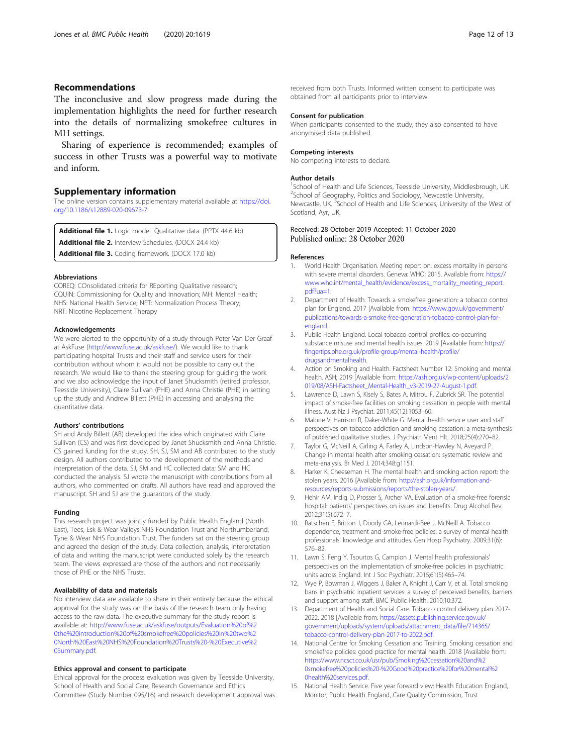# <span id="page-11-0"></span>Recommendations

The inconclusive and slow progress made during the implementation highlights the need for further research into the details of normalizing smokefree cultures in MH settings.

Sharing of experience is recommended; examples of success in other Trusts was a powerful way to motivate and inform.

#### Supplementary information

The online version contains supplementary material available at [https://doi.](https://doi.org/10.1186/s12889-020-09673-7) [org/10.1186/s12889-020-09673-7.](https://doi.org/10.1186/s12889-020-09673-7)

Additional file 1. Logic model\_Qualitative data. (PPTX 44.6 kb)

Additional file 2. Interview Schedules. (DOCX 24.4 kb)

Additional file 3. Coding framework. (DOCX 17.0 kb)

#### Abbreviations

COREQ: COnsolidated criteria for REporting Qualitative research; CQUIN: Commissioning for Quality and Innovation; MH: Mental Health; NHS: National Health Service; NPT: Normalization Process Theory; NRT: Nicotine Replacement Therapy

#### Acknowledgements

We were alerted to the opportunity of a study through Peter Van Der Graaf at AskFuse (<http://www.fuse.ac.uk/askfuse/>). We would like to thank participating hospital Trusts and their staff and service users for their contribution without whom it would not be possible to carry out the research. We would like to thank the steering group for guiding the work and we also acknowledge the input of Janet Shucksmith (retired professor, Teesside University), Claire Sullivan (PHE) and Anna Christie (PHE) in setting up the study and Andrew Billett (PHE) in accessing and analysing the quantitative data.

#### Authors' contributions

SH and Andy Billett (AB) developed the idea which originated with Claire Sullivan (CS) and was first developed by Janet Shucksmith and Anna Christie. CS gained funding for the study. SH, SJ, SM and AB contributed to the study design. All authors contributed to the development of the methods and interpretation of the data. SJ, SM and HC collected data; SM and HC conducted the analysis. SJ wrote the manuscript with contributions from all authors, who commented on drafts. All authors have read and approved the manuscript. SH and SJ are the guarantors of the study.

#### Funding

This research project was jointly funded by Public Health England (North East), Tees, Esk & Wear Valleys NHS Foundation Trust and Northumberland, Tyne & Wear NHS Foundation Trust. The funders sat on the steering group and agreed the design of the study. Data collection, analysis, interpretation of data and writing the manuscript were conducted solely by the research team. The views expressed are those of the authors and not necessarily those of PHE or the NHS Trusts.

#### Availability of data and materials

No interview data are available to share in their entirety because the ethical approval for the study was on the basis of the research team only having access to the raw data. The executive summary for the study report is available at: [http://www.fuse.ac.uk/askfuse/outputs/Evaluation%20of%2](http://www.fuse.ac.uk/askfuse/outputs/Evaluation%20of%20the%20introduction%20of%20smokefree%20policies%20in%20two%20North%20East%20NHS%20Foundation%20Trusts%20-%20Executive%20Summary.pdf) [0the%20introduction%20of%20smokefree%20policies%20in%20two%2](http://www.fuse.ac.uk/askfuse/outputs/Evaluation%20of%20the%20introduction%20of%20smokefree%20policies%20in%20two%20North%20East%20NHS%20Foundation%20Trusts%20-%20Executive%20Summary.pdf) [0North%20East%20NHS%20Foundation%20Trusts%20-%20Executive%2](http://www.fuse.ac.uk/askfuse/outputs/Evaluation%20of%20the%20introduction%20of%20smokefree%20policies%20in%20two%20North%20East%20NHS%20Foundation%20Trusts%20-%20Executive%20Summary.pdf) [0Summary.pdf](http://www.fuse.ac.uk/askfuse/outputs/Evaluation%20of%20the%20introduction%20of%20smokefree%20policies%20in%20two%20North%20East%20NHS%20Foundation%20Trusts%20-%20Executive%20Summary.pdf).

#### Ethics approval and consent to participate

Ethical approval for the process evaluation was given by Teesside University, School of Health and Social Care, Research Governance and Ethics Committee (Study Number 095/16) and research development approval was

received from both Trusts. Informed written consent to participate was obtained from all participants prior to interview.

#### Consent for publication

When participants consented to the study, they also consented to have anonymised data published.

#### Competing interests

No competing interests to declare.

#### Author details

<sup>1</sup>School of Health and Life Sciences, Teesside University, Middlesbrough, UK <sup>2</sup>School of Geography, Politics and Sociology, Newcastle University Newcastle, UK.<sup>3</sup>School of Health and Life Sciences, University of the West of Scotland, Ayr, UK.

#### Received: 28 October 2019 Accepted: 11 October 2020 Published online: 28 October 2020

#### References

- 1. World Health Organisation. Meeting report on: excess mortality in persons with severe mental disorders. Geneva: WHO; 2015. Available from: [https://](https://www.who.int/mental_health/evidence/excess_mortality_meeting_report.pdf?ua=1) [www.who.int/mental\\_health/evidence/excess\\_mortality\\_meeting\\_report.](https://www.who.int/mental_health/evidence/excess_mortality_meeting_report.pdf?ua=1) [pdf?ua=1.](https://www.who.int/mental_health/evidence/excess_mortality_meeting_report.pdf?ua=1)
- 2. Department of Health. Towards a smokefree generation: a tobacco control plan for England. 2017 [Available from: [https://www.gov.uk/government/](https://www.gov.uk/government/publications/towards-a-smoke-free-generation-tobacco-control-plan-for-england) [publications/towards-a-smoke-free-generation-tobacco-control-plan-for](https://www.gov.uk/government/publications/towards-a-smoke-free-generation-tobacco-control-plan-for-england)[england](https://www.gov.uk/government/publications/towards-a-smoke-free-generation-tobacco-control-plan-for-england).
- 3. Public Health England. Local tobacco control profiles: co-occurring substance misuse and mental health issues. 2019 [Available from: [https://](https://fingertips.phe.org.uk/profile-group/mental-health/profile/drugsandmentalhealth) [fingertips.phe.org.uk/profile-group/mental-health/profile/](https://fingertips.phe.org.uk/profile-group/mental-health/profile/drugsandmentalhealth) [drugsandmentalhealth](https://fingertips.phe.org.uk/profile-group/mental-health/profile/drugsandmentalhealth).
- 4. Action on Smoking and Health. Factsheet Number 12: Smoking and mental health. ASH; 2019 [Available from: [https://ash.org.uk/wp-content/uploads/2](https://ash.org.uk/wp-content/uploads/2019/08/ASH-Factsheet_Mental-Health_v3-2019-27-August-1.pdf) [019/08/ASH-Factsheet\\_Mental-Health\\_v3-2019-27-August-1.pdf.](https://ash.org.uk/wp-content/uploads/2019/08/ASH-Factsheet_Mental-Health_v3-2019-27-August-1.pdf)
- 5. Lawrence D, Lawn S, Kisely S, Bates A, Mitrou F, Zubrick SR. The potential impact of smoke-free facilities on smoking cessation in people with mental illness. Aust Nz J Psychiat. 2011;45(12):1053–60.
- 6. Malone V, Harrison R, Daker-White G. Mental health service user and staff perspectives on tobacco addiction and smoking cessation: a meta-synthesis of published qualitative studies. J Psychiatr Ment Hlt. 2018;25(4):270–82.
- 7. Taylor G, McNeill A, Girling A, Farley A, Lindson-Hawley N, Aveyard P. Change in mental health after smoking cessation: systematic review and meta-analysis. Br Med J. 2014;348:g1151.
- Harker K, Cheeseman H. The mental health and smoking action report: the stolen years. 2016 [Available from: [http://ash.org.uk/information-and](http://ash.org.uk/information-and-resources/reports-submissions/reports/the-stolen-years/)[resources/reports-submissions/reports/the-stolen-years/.](http://ash.org.uk/information-and-resources/reports-submissions/reports/the-stolen-years/)
- 9. Hehir AM, Indig D, Prosser S, Archer VA. Evaluation of a smoke-free forensic hospital: patients' perspectives on issues and benefits. Drug Alcohol Rev. 2012;31(5):672–7.
- 10. Ratschen E, Britton J, Doody GA, Leonardi-Bee J, McNeill A. Tobacco dependence, treatment and smoke-free policies: a survey of mental health professionals' knowledge and attitudes. Gen Hosp Psychiatry. 2009;31(6): 576–82.
- 11. Lawn S, Feng Y, Tsourtos G, Campion J. Mental health professionals' perspectives on the implementation of smoke-free policies in psychiatric units across England. Int J Soc Psychiatr. 2015;61(5):465–74.
- 12. Wye P, Bowman J, Wiggers J, Baker A, Knight J, Carr V, et al. Total smoking bans in psychiatric inpatient services: a survey of perceived benefits, barriers and support among staff. BMC Public Health. 2010;10:372.
- 13. Department of Health and Social Care. Tobacco control delivery plan 2017- 2022. 2018 [Available from: [https://assets.publishing.service.gov.uk/](https://assets.publishing.service.gov.uk/government/uploads/system/uploads/attachment_data/file/714365/tobacco-control-delivery-plan-2017-to-2022.pdf) [government/uploads/system/uploads/attachment\\_data/file/714365/](https://assets.publishing.service.gov.uk/government/uploads/system/uploads/attachment_data/file/714365/tobacco-control-delivery-plan-2017-to-2022.pdf) [tobacco-control-delivery-plan-2017-to-2022.pdf.](https://assets.publishing.service.gov.uk/government/uploads/system/uploads/attachment_data/file/714365/tobacco-control-delivery-plan-2017-to-2022.pdf)
- 14. National Centre for Smoking Cessation and Training. Smoking cessation and smokefree policies: good practice for mental health. 2018 [Available from: [https://www.ncsct.co.uk/usr/pub/Smoking%20cessation%20and%2](https://www.ncsct.co.uk/usr/pub/Smoking%20cessation%20and%20smokefree%20policies%20-%20Good%20practice%20for%20mental%20health%20services.pdf) [0smokefree%20policies%20-%20Good%20practice%20for%20mental%2](https://www.ncsct.co.uk/usr/pub/Smoking%20cessation%20and%20smokefree%20policies%20-%20Good%20practice%20for%20mental%20health%20services.pdf) [0health%20services.pdf.](https://www.ncsct.co.uk/usr/pub/Smoking%20cessation%20and%20smokefree%20policies%20-%20Good%20practice%20for%20mental%20health%20services.pdf)
- 15. National Health Service. Five year forward view: Health Education England, Monitor, Public Health England, Care Quality Commission, Trust